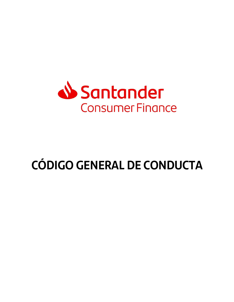

# **CÓDIGO GENERAL DE CONDUCTA**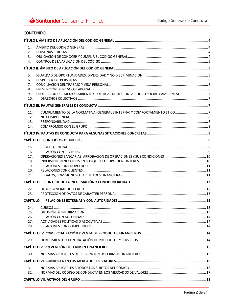# CONTENIDO

| 1.               |                                                                                  |  |  |  |
|------------------|----------------------------------------------------------------------------------|--|--|--|
| 2.               |                                                                                  |  |  |  |
| $\overline{3}$ . |                                                                                  |  |  |  |
| 4.               |                                                                                  |  |  |  |
|                  |                                                                                  |  |  |  |
| 5.               |                                                                                  |  |  |  |
| 6.               |                                                                                  |  |  |  |
| 7.               |                                                                                  |  |  |  |
| 8.<br>9.         | PROTECCIÓN DEL MEDIO AMBIENTE Y POLÍTICAS DE RESPONSABILIDAD SOCIAL Y AMBIENTAL7 |  |  |  |
| 10.              |                                                                                  |  |  |  |
|                  |                                                                                  |  |  |  |
| 11.              |                                                                                  |  |  |  |
| 12.              |                                                                                  |  |  |  |
| 13.              |                                                                                  |  |  |  |
| 14.              |                                                                                  |  |  |  |
|                  |                                                                                  |  |  |  |
|                  |                                                                                  |  |  |  |
| 15.              |                                                                                  |  |  |  |
| 16.              |                                                                                  |  |  |  |
| 17.              |                                                                                  |  |  |  |
| 18.              |                                                                                  |  |  |  |
| 19.<br>20.       |                                                                                  |  |  |  |
| 21.              |                                                                                  |  |  |  |
|                  |                                                                                  |  |  |  |
| 22.              |                                                                                  |  |  |  |
| 23.              |                                                                                  |  |  |  |
|                  |                                                                                  |  |  |  |
| 24.              |                                                                                  |  |  |  |
| 25.              |                                                                                  |  |  |  |
| 26.              |                                                                                  |  |  |  |
| 27.              |                                                                                  |  |  |  |
| 28.              |                                                                                  |  |  |  |
|                  |                                                                                  |  |  |  |
| 29.              |                                                                                  |  |  |  |
|                  |                                                                                  |  |  |  |
| 30.              |                                                                                  |  |  |  |
|                  |                                                                                  |  |  |  |
| 31.              |                                                                                  |  |  |  |
| 32.              |                                                                                  |  |  |  |
|                  |                                                                                  |  |  |  |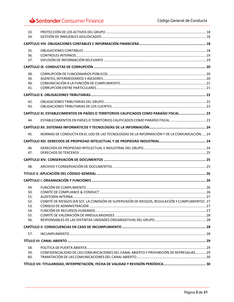# Santander Consumer Finance

| 33.<br>34.                             |                                                                                                  |  |
|----------------------------------------|--------------------------------------------------------------------------------------------------|--|
|                                        |                                                                                                  |  |
| 35.<br>36.<br>37.                      |                                                                                                  |  |
|                                        |                                                                                                  |  |
| 38.<br>39.<br>40.<br>41.               |                                                                                                  |  |
|                                        |                                                                                                  |  |
| 42.<br>43.                             |                                                                                                  |  |
|                                        | CAPÍTULO XI. ESTABLECIMIENTOS EN PAÍSES O TERRITORIOS CALIFICADOS COMO PARAÍSO FISCAL            |  |
| 44.                                    | ESTABLECIMIENTOS EN PAÍSES O TERRITORIOS CALIFICADOS COMO PARAÍSO FISCAL 23                      |  |
|                                        |                                                                                                  |  |
| 45.                                    | NORMAS DE CONDUCTA EN EL USO DE LAS TECNOLOGÍAS DE LA INFORMACIÓN Y DE LA COMUNICACIÓN 24        |  |
|                                        |                                                                                                  |  |
| 46.<br>47.                             |                                                                                                  |  |
|                                        |                                                                                                  |  |
| 48.                                    |                                                                                                  |  |
|                                        |                                                                                                  |  |
|                                        |                                                                                                  |  |
| 49.<br>50.                             |                                                                                                  |  |
| 51.<br>52.<br>53.<br>54.<br>55.<br>56. | COMITÉ DE RIESGOS (EN SCF, LA COMISIÓN DE SUPERVISIÓN DE RIESGOS, REGULACIÓN Y CUMPLIMIENTO). 27 |  |
|                                        |                                                                                                  |  |
| 57.                                    |                                                                                                  |  |
|                                        |                                                                                                  |  |
| 58.<br>59.<br>60.                      | CONFIDENCIALIDAD DE LAS COMUNICACIONES DEL CANAL ABIERTO Y PROHIBICIÓN DE REPRESALIAS29          |  |
|                                        |                                                                                                  |  |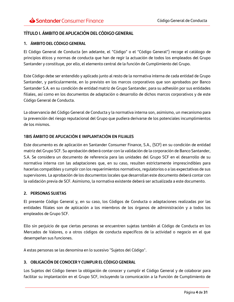# <span id="page-3-0"></span>**TÍTULO I. ÁMBITO DE APLICACIÓN DEL CÓDIGO GENERAL**

#### <span id="page-3-1"></span>**1. ÁMBITO DEL CÓDIGO GENERAL**

El Código General de Conducta (en adelante, el "Código" o el "Código General") recoge el catálogo de principios éticos y normas de conducta que han de regir la actuación de todos los empleados del Grupo Santander y constituye, por ello, el elemento central de la función de Cumplimiento del Grupo.

Este Código debe ser entendido y aplicado junto al resto de la normativa interna de cada entidad de Grupo Santander, y particularmente, en lo previsto en los marcos corporativos que son aprobados por Banco Santander S.A. en su condición de entidad matriz de Grupo Santander, para su adhesión por sus entidades filiales, así como en los documentos de adaptación o desarrollo de dichos marcos corporativos y de este Código General de Conducta.

La observancia del Código General de Conducta y la normativa interna son, asimismo, un mecanismo para la prevención del riesgo reputacional del Grupo que pudiera derivarse de los potenciales incumplimientos de los mismos.

#### **1BIS ÁMBITO DE APLICACIÓN E IMPLANTACIÓN EN FILIALES**

Este documento es de aplicación en Santander Consumer Finance, S.A., (SCF) en su condición de entidad matriz del Grupo SCF. Su aprobación deberá contar con la validación de la corporación de Banco Santander, S.A. Se considera un documento de referencia para las unidades del Grupo SCF en el desarrollo de su normativa interna con las adaptaciones que, en su caso, resulten estrictamente imprescindibles para hacerlas compatibles y cumplir con los requerimientos normativos, regulatorios o a las expectativas de sus supervisores. La aprobación de los documentos locales que desarrollan este documento deberá contar con la validación previa de SCF. Asimismo, la normativa existente deberá ser actualizada a este documento.

#### <span id="page-3-2"></span>**2. PERSONAS SUJETAS**

El presente Código General y, en su caso, los Códigos de Conducta o adaptaciones realizadas por las entidades filiales son de aplicación a los miembros de los órganos de administración y a todos los empleados de Grupo SCF.

Ello sin perjuicio de que ciertas personas se encuentren sujetas también al Código de Conducta en los Mercados de Valores, o a otros códigos de conducta específicos de la actividad o negocio en el que desempeñan sus funciones.

A estas personas se las denomina en lo sucesivo "Sujetos del Código".

#### <span id="page-3-3"></span>**3. OBLIGACIÓN DE CONOCER Y CUMPLIR EL CÓDIGO GENERAL**

Los Sujetos del Código tienen la obligación de conocer y cumplir el Código General y de colaborar para facilitar su implantación en el Grupo SCF, incluyendo la comunicación a la Función de Cumplimiento de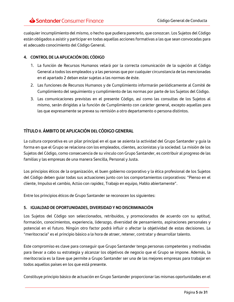cualquier incumplimiento del mismo, o hecho que pudiera parecerlo, que conozcan. Los Sujetos del Código están obligados a asistir y participar en todas aquellas acciones formativas a las que sean convocadas para el adecuado conocimiento del Código General.

#### <span id="page-4-0"></span>**4. CONTROL DE LA APLICACIÓN DEL CÓDIGO**

- 1. La función de Recursos Humanos velará por la correcta comunicación de la sujeción al Código General a todos los empleados y a las personas que por cualquier circunstancia de las mencionadas en el apartado 2 deban estar sujetas a las normas de éste.
- 2. Las funciones de Recursos Humanos y de Cumplimiento informarán periódicamente al Comité de Cumplimiento del seguimiento y cumplimiento de las normas por parte de los Sujetos del Código.
- 3. Las comunicaciones previstas en el presente Código, así como las consultas de los Sujetos al mismo, serán dirigidas a la función de Cumplimiento con carácter general, excepto aquellas para las que expresamente se prevea su remisión a otro departamento o persona distintos.

# <span id="page-4-1"></span>**TÍTULO II. ÁMBITO DE APLICACIÓN DEL CÓDIGO GENERAL**

La cultura corporativa es un pilar principal en el que se asienta la actividad del Grupo Santander y guía la forma en que el Grupo se relaciona con los empleados, clientes, accionistas y la sociedad. La misión de los Sujetos del Código, como consecuencia de su vínculo con Grupo Santander, es contribuir al progreso de las familias y las empresas de una manera Sencilla, Personal y Justa.

Los principios éticos de la organización, el buen gobierno corporativo y la ética profesional de los Sujetos del Código deben guiar todas sus actuaciones junto con los comportamientos corporativos: "Pienso en el cliente, Impulso el cambio, Actúo con rapidez, Trabajo en equipo, Hablo abiertamente".

Entre los principios éticos de Grupo Santander se reconocen los siguientes:

# <span id="page-4-2"></span>**5. IGUALDAD DE OPORTUNIDADES, DIVERSIDAD Y NO DISCRIMINACIÓN**

Los Sujetos del Código son seleccionados, retribuidos, y promocionados de acuerdo con su aptitud, formación, conocimientos, experiencia, liderazgo, diversidad de pensamiento, aspiraciones personales y potencial en el futuro. Ningún otro factor podrá influir o afectar la objetividad de estas decisiones. La "meritocracia" es el principio básico a la hora de atraer, retener, contratar y desarrollar talento.

Este compromiso es clave para conseguir que Grupo Santander tenga personas competentes y motivadas para llevar a cabo su estrategia y alcanzar los objetivos de negocio que el Grupo se impone. Además, la meritocracia es la llave que permite a Grupo Santander ser una de las mejores empresas para trabajar en todos aquellos países en los que está presente.

Constituye principio básico de actuación en Grupo Santander proporcionar las mismas oportunidades en el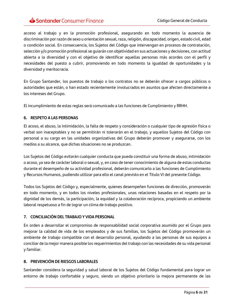acceso al trabajo y en la promoción profesional, asegurando en todo momento la ausencia de discriminación por razón de sexo u orientación sexual, raza, religión, discapacidad, origen, estado civil, edad o condición social. En consecuencia, los Sujetos del Código que intervengan en procesos de contratación, selección y/o promoción profesional se guiarán con objetividad en sus actuaciones y decisiones, con actitud abierta a la diversidad y con el objetivo de identificar aquellas personas más acordes con el perfil y necesidades del puesto a cubrir, promoviendo en todo momento la igualdad de oportunidades y la diversidad y meritocracia.

En Grupo Santander, los puestos de trabajo o los contratos no se deberán ofrecer a cargos públicos o autoridades que están, o han estado recientemente involucrados en asuntos que afecten directamente a los intereses del Grupo.

El incumplimiento de estas reglas será comunicado a las funciones de Cumplimiento y RRHH.

#### <span id="page-5-0"></span>**6. RESPETO A LAS PERSONAS**

El acoso, el abuso, la intimidación, la falta de respeto y consideración o cualquier tipo de agresión física o verbal son inaceptables y no se permitirán ni tolerarán en el trabajo, y aquellos Sujetos del Código con personal a su cargo en las unidades organizativas del Grupo deberán promover y asegurarse, con los medios a su alcance, que dichas situaciones no se produzcan.

Los Sujetos del Código evitarán cualquier conducta que pueda constituir una forma de abuso, intimidación o acoso, ya sea de carácter laboral o sexual, y, en caso de tener conocimiento de alguna de estas conductas durante el desempeño de su actividad profesional, deberán comunicarlo a las funciones de Cumplimiento y Recursos Humanos, pudiendo utilizar para ello el canal previsto en el Título VI del presente Código.

Todos los Sujetos del Código y, especialmente, quienes desempeñen funciones de dirección, promoverán en todo momento, y en todos los niveles profesionales, unas relaciones basadas en el respeto por la dignidad de los demás, la participación, la equidad y la colaboración recíproca, propiciando un ambiente laboral respetuoso a fin de lograr un clima de trabajo positivo.

#### <span id="page-5-1"></span>**7. CONCILIACIÓN DEL TRABAJO Y VIDA PERSONAL**

En orden a desarrollar el compromiso de responsabilidad social corporativa asumido por el Grupo para mejorar la calidad de vida de los empleados y de sus familias, los Sujetos del Código promoverán un ambiente de trabajo compatible con el desarrollo personal, ayudando a las personas de sus equipos a conciliar de la mejor manera posible los requerimientos del trabajo con las necesidades de su vida personal y familiar.

#### <span id="page-5-2"></span>**8. PREVENCIÓN DE RIESGOS LABORALES**

Santander considera la seguridad y salud laboral de los Sujetos del Código fundamental para lograr un entorno de trabajo confortable y seguro, siendo un objetivo prioritario la mejora permanente de las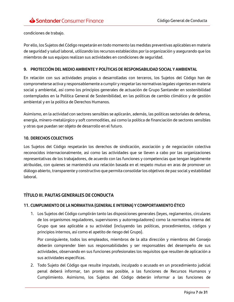condiciones de trabajo.

Por ello, los Sujetos del Código respetarán en todo momento las medidas preventivas aplicables en materia de seguridad y salud laboral, utilizando los recursos establecidos por la organización y asegurando que los miembros de sus equipos realizan sus actividades en condiciones de seguridad.

#### <span id="page-6-0"></span>**9. PROTECCIÓN DEL MEDIO AMBIENTE Y POLÍTICAS DE RESPONSABILIDAD SOCIAL Y AMBIENTAL**

En relación con sus actividades propias o desarrolladas con terceros, los Sujetos del Código han de comprometerse activa y responsablemente a cumplir y respetar las normativas legales vigentes en materia social y ambiental, así como los principios generales de actuación de Grupo Santander en sostenibilidad contemplados en la Política General de Sostenibilidad, en las políticas de cambio climático y de gestión ambiental y en la política de Derechos Humanos.

Asimismo, en la actividad con sectores sensibles se aplicarán, además, las políticas sectoriales de defensa, energía, minero-metalúrgico y soft commodities, así como la política de financiación de sectores sensibles y otras que puedan ser objeto de desarrollo en el futuro.

#### <span id="page-6-1"></span>**10. DERECHOS COLECTIVOS**

Los Sujetos del Código respetarán los derechos de sindicación, asociación y de negociación colectiva reconocidos internacionalmente, así como las actividades que se lleven a cabo por las organizaciones representativas de los trabajadores, de acuerdo con las funciones y competencias que tengan legalmente atribuidas, con quienes se mantendrá una relación basada en el respeto mutuo en aras de promover un diálogo abierto, transparente y constructivo que permita consolidar los objetivos de paz social y estabilidad laboral.

# <span id="page-6-2"></span>**TÍTULO III. PAUTAS GENERALES DE CONDUCTA**

#### <span id="page-6-3"></span>**11. CUMPLIMIENTO DE LA NORMATIVA (GENERAL E INTERNA) Y COMPORTAMIENTO ÉTICO**

1. Los Sujetos del Código cumplirán tanto las disposiciones generales (leyes, reglamentos, circulares de los organismos reguladores, supervisores y autorreguladores) como la normativa interna del Grupo que sea aplicable a su actividad (incluyendo las políticas, procedimientos, códigos y principios internos, así como el apetito de riesgo del Grupo).

Por consiguiente, todos los empleados, miembros de la alta dirección y miembros del Consejo deberán comprender bien sus responsabilidades y ser responsables del desempeño de sus actividades, observando en sus funciones profesionales los requisitos que resulten de aplicación a sus actividades específicas.

2. Todo Sujeto del Código que resulte imputado, inculpado o acusado en un procedimiento judicial penal deberá informar, tan pronto sea posible, a las funciones de Recursos Humanos y Cumplimiento. Asimismo, los Sujetos del Código deberán informar a las funciones de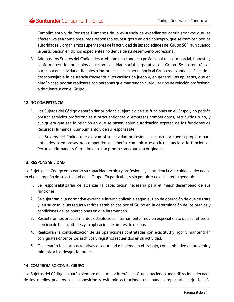Cumplimiento y de Recursos Humanos de la existencia de expedientes administrativos que les afecten, ya sea como presuntos responsables, testigos o en otro concepto, que se tramiten por las autoridades u organismos supervisores de la actividad de las sociedades del Grupo SCF, aun cuando la participación en dichos expedientes no derive de su desempeño profesional.

3. Además, los Sujetos del Código desarrollarán una conducta profesional recta, imparcial, honesta y conforme con los principios de responsabilidad social corporativa del Grupo. Se abstendrán de participar en actividades ilegales o inmorales o de atraer negocio al Grupo realizándolas. Se estima desaconsejable la asistencia frecuente a los casinos de juego y, en general, las apuestas, que en ningún caso podrán realizarse con personas que mantengan cualquier tipo de relación profesional o de clientela con el Grupo.

#### <span id="page-7-0"></span>**12. NO COMPETENCIA**

- 1. Los Sujetos del Código deberán dar prioridad al ejercicio de sus funciones en el Grupo y no podrán prestar servicios profesionales a otras entidades o empresas competidoras, retribuidos o no, y cualquiera que sea la relación en que se basen, salvo autorización expresa de las funciones de Recursos Humanos, Cumplimiento y de su responsable.
- 2. Los Sujetos del Código que ejerzan otra actividad profesional, incluso por cuenta propia o para entidades o empresas no competidoras deberán comunicar esa circunstancia a la función de Recursos Humanos y Cumplimiento tan pronto como pudiera originarse.

#### <span id="page-7-1"></span>**13. RESPONSABILIDAD**

Los Sujetos del Código emplearán su capacidad técnica y profesional y la prudencia y el cuidado adecuados en el desempeño de su actividad en el Grupo. En particular, y sin perjuicio de dicha regla general:

- 1. Se responsabilizarán de alcanzar la capacitación necesaria para el mejor desempeño de sus funciones.
- 2. Se sujetarán a la normativa externa e interna aplicable según el tipo de operación de que se trate y, en su caso, a las reglas y tarifas establecidas por el Grupo en la determinación de los precios y condiciones de las operaciones en que intervengan.
- 3. Respetarán los procedimientos establecidos internamente, muy en especial en lo que se refiere al ejercicio de las facultades y la aplicación de límites de riesgos.
- 4. Realizarán la contabilización de las operaciones contratadas con exactitud y rigor y mantendrán con iguales criterios los archivos y registros requeridos en su actividad.
- 5. Observarán las normas relativas a seguridad e higiene en el trabajo, con el objetivo de prevenir y minimizar los riesgos laborales.

#### <span id="page-7-2"></span>**14. COMPROMISO CON EL GRUPO**

Los Sujetos del Código actuarán siempre en el mejor interés del Grupo, haciendo una utilización adecuada de los medios puestos a su disposición y evitando actuaciones que puedan reportarle perjuicios. Se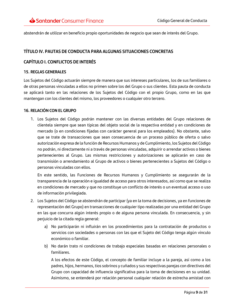abstendrán de utilizar en beneficio propio oportunidades de negocio que sean de interés del Grupo.

# <span id="page-8-0"></span>**TÍTULO IV. PAUTAS DE CONDUCTA PARA ALGUNAS SITUACIONES CONCRETAS**

# <span id="page-8-1"></span>**CAPÍTULO I. CONFLICTOS DE INTERÉS**

#### <span id="page-8-2"></span>**15. REGLAS GENERALES**

Los Sujetos del Código actuarán siempre de manera que sus intereses particulares, los de sus familiares o de otras personas vinculadas a ellos no primen sobre los del Grupo o sus clientes. Esta pauta de conducta se aplicará tanto en las relaciones de los Sujetos del Código con el propio Grupo, como en las que mantengan con los clientes del mismo, los proveedores o cualquier otro tercero.

#### <span id="page-8-3"></span>**16. RELACIÓN CON EL GRUPO**

1. Los Sujetos del Código podrán mantener con las diversas entidades del Grupo relaciones de clientela siempre que sean típicas del objeto social de la respectiva entidad y en condiciones de mercado (o en condiciones fijadas con carácter general para los empleados). No obstante, salvo que se trate de transacciones que sean consecuencia de un proceso público de oferta o salvo autorización expresa de la función de Recursos Humanos y de Cumplimiento, los Sujetos del Código no podrán, ni directamente ni a través de personas vinculadas, adquirir o arrendar activos o bienes pertenecientes al Grupo. Las mismas restricciones y autorizaciones se aplicarán en caso de transmisión o arrendamiento al Grupo de activos o bienes pertenecientes a Sujetos del Código o personas vinculadas con ellos.

En este sentido, las Funciones de Recursos Humanos y Cumplimiento se asegurarán de la transparencia de la operación e igualdad de acceso para otros interesados, así como que se realiza en condiciones de mercado y que no constituye un conflicto de interés o un eventual acceso o uso de información privilegiada.

- 2. Los Sujetos del Código se abstendrán de participar (ya en la toma de decisiones, ya en funciones de representación del Grupo) en transacciones de cualquier tipo realizadas por una entidad del Grupo en las que concurra algún interés propio o de alguna persona vinculada. En consecuencia, y sin perjuicio de la citada regla general:
	- a) No participarán ni influirán en los procedimientos para la contratación de productos o servicios con sociedades o personas con las que el Sujeto del Código tenga algún vínculo económico o familiar.
	- b) No darán trato ni condiciones de trabajo especiales basadas en relaciones personales o familiares.

A los efectos de este Código, el concepto de familiar incluye a la pareja, así como a los padres, hijos, hermanos, tíos sobrinos y cuñados y sus respectivas parejas con directivos del Grupo con capacidad de influencia significativa para la toma de decisiones en su unidad. Asimismo, se entenderá por relación personal cualquier relación de estrecha amistad con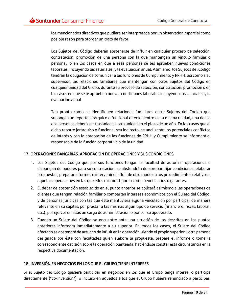los mencionados directivos que pudiera ser interpretada por un observador imparcial como posible razón para otorgar un trato de favor.

Los Sujetos del Código deberán abstenerse de influir en cualquier proceso de selección, contratación, promoción de una persona con la que mantengan un vínculo familiar o personal, o en los casos en que a esas personas se les aprueben nuevas condiciones laborales, incluyendo las salariales, y la evaluación anual. Asimismo, los Sujetos del Código tendrán la obligación de comunicar a las funciones de Cumplimiento y RRHH, así como a su supervisor, las relaciones familiares que mantengan con otros Sujetos del Código en cualquier unidad del Grupo, durante su proceso de selección, contratación, promoción o en los casos en que se le aprueben nuevas condiciones laborales incluyendo las salariales y la evaluación anual.

Tan pronto como se identifiquen relaciones familiares entre Sujetos del Código que supongan un reporte jerárquico o funcional directo dentro de la misma unidad, una de las dos personas deberá ser trasladada a otra unidad en el plazo de un año. En los casos que el dicho reporte jerárquico o funcional sea indirecto, se analizarán los potenciales conflictos de interés y con la aprobación de las funciones de RRHH y Cumplimiento se informará al responsable de la función corporativa o de la unidad.

#### <span id="page-9-0"></span>**17. OPERACIONES BANCARIAS. APROBACIÓN DE OPERACIONES Y SUS CONDICIONES**

- 1. Los Sujetos del Código que por sus funciones tengan la facultad de autorizar operaciones o dispongan de poderes para su contratación, se abstendrán de aprobar, fijar condiciones, elaborar propuestas, preparar informes o intervenir o influir de otro modo en los procedimientos relativos a aquellas operaciones en las que ellos mismos figuren como beneficiarios o garantes.
- 2. El deber de abstención establecido en el punto anterior se aplicará asimismo a las operaciones de clientes que tengan relación familiar o compartan intereses económicos con el Sujeto del Código, y de personas jurídicas con las que éste mantuviera alguna vinculación por participar de manera relevante en su capital, por prestar a las mismas algún tipo de servicio (financiero, fiscal, laboral, etc.), por ejercer en ellas un cargo de administración o por ser su apoderado.
- 3. Cuando un Sujeto del Código se encuentre ante una situación de las descritas en los puntos anteriores informará inmediatamente a su superior. En todos los casos, el Sujeto del Código afectado se abstendrá de actuar o de influir en la operación, siendo el propio superior u otra persona designada por éste con facultades quien elabore la propuesta, prepare el informe o tome la correspondiente decisión sobre la operación planteada, haciéndose constar esta circunstancia en la respectiva documentación.

#### <span id="page-9-1"></span>**18. INVERSIÓN EN NEGOCIOS EN LOS QUE EL GRUPO TIENE INTERESES**

Si el Sujeto del Código quisiera participar en negocios en los que el Grupo tenga interés, o participe directamente ("co-inversión"), o incluso en aquéllos a los que el Grupo hubiera renunciado a participar,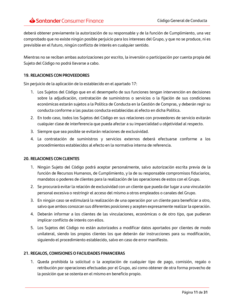deberá obtener previamente la autorización de su responsable y de la función de Cumplimiento, una vez comprobado que no existe ningún posible perjuicio para los intereses del Grupo, y que no se produce, ni es previsible en el futuro, ningún conflicto de interés en cualquier sentido.

Mientras no se reciban ambas autorizaciones por escrito, la inversión o participación por cuenta propia del Sujeto del Código no podrá llevarse a cabo.

# <span id="page-10-0"></span>**19. RELACIONES CON PROVEEDORES**

Sin perjuicio de la aplicación de lo establecido en el apartado 17:

- 1. Los Sujetos del Código que en el desempeño de sus funciones tengan intervención en decisiones sobre la adjudicación, contratación de suministros o servicios o la fijación de sus condiciones económicas estarán sujetos a la Política de Conducta en la Gestión de Compras, y deberán regir su conducta conforme a las pautas conducta establecidas al efecto en dicha Política.
- 2. En todo caso, todos los Sujetos del Código en sus relaciones con proveedores de servicio evitarán cualquier clase de interferencia que pueda afectar a su imparcialidad u objetividad al respecto.
- 3. Siempre que sea posible se evitarán relaciones de exclusividad.
- 4. La contratación de suministros y servicios externos deberá efectuarse conforme a los procedimientos establecidos al efecto en la normativa interna de referencia.

#### <span id="page-10-1"></span>**20. RELACIONES CON CLIENTES**

- 1. Ningún Sujeto del Código podrá aceptar personalmente, salvo autorización escrita previa de la función de Recursos Humanos, de Cumplimiento, y la de su responsable compromisos fiduciarios, mandatos o poderes de clientes para la realización de las operaciones de estos con el Grupo.
- 2. Se procurará evitar la relación de exclusividad con un cliente que pueda dar lugar a una vinculación personal excesiva o restringir el acceso del mismo a otros empleados o canales del Grupo.
- 3. En ningún caso se estimulará la realización de una operación por un cliente para beneficiar a otro, salvo que ambos conozcan sus diferentes posiciones y acepten expresamente realizar la operación.
- 4. Deberán informar a los clientes de las vinculaciones, económicas o de otro tipo, que pudieran implicar conflicto de interés con ellos.
- 5. Los Sujetos del Código no están autorizados a modificar datos aportados por clientes de modo unilateral, siendo los propios clientes los que deberán dar instrucciones para su modificación, siguiendo el procedimiento establecido, salvo en caso de error manifiesto.

#### <span id="page-10-2"></span>**21. REGALOS, COMISIONES O FACILIDADES FINANCIERAS**

1. Queda prohibida la solicitud o la aceptación de cualquier tipo de pago, comisión, regalo o retribución por operaciones efectuadas por el Grupo, así como obtener de otra forma provecho de la posición que se ostenta en el mismo en beneficio propio.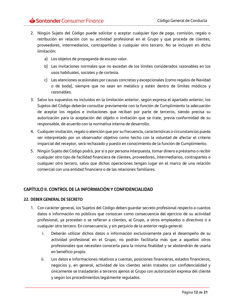- 2. Ningún Sujeto del Código puede solicitar o aceptar cualquier tipo de pago, comisión, regalo o retribución en relación con su actividad profesional en el Grupo y que proceda de clientes, proveedores, intermediarios, contrapartidas o cualquier otro tercero. No se incluyen en dicha limitación:
	- a) Los objetos de propaganda de escaso valor.
	- b) Las invitaciones normales que no excedan de los límites considerados razonables en los usos habituales, sociales y de cortesía.
	- c) Las atenciones ocasionales por causas concretas y excepcionales (como regalos de Navidad o de boda), siempre que no sean en metálico y estén dentro de límites módicos y razonables.
- 3. Salvo los supuestos no incluidos en la limitación anterior, según expresa el apartado anterior, los Sujetos del Código deberán consultar previamente con la función de Cumplimiento la adecuación de aceptar los regalos e invitaciones que reciban por parte de terceros, siendo precisa su autorización para la aceptación del objeto o invitación que se trate, previa conformidad de su responsable, de acuerdo con la normativa interna de desarrollo.
- 4. Cualquier invitación, regalo o atención que por su frecuencia, características o circunstancias pueda ser interpretado por un observador objetivo como hecho con la voluntad de afectar el criterio imparcial del receptor, será rechazado y puesto en conocimiento de la función de Cumplimiento.
- 5. Ningún Sujeto del Código podrá, por sí o por persona interpuesta, tomar dinero a préstamo o recibir cualquier otro tipo de facilidad financiera de clientes, proveedores, intermediarios, contrapartes o cualquier otro tercero, salvo que dichas operaciones tengan lugar en el marco de una relación comercial con una entidad financiera o de las relaciones familiares.

# <span id="page-11-0"></span>**CAPÍTULO II. CONTROL DE LA INFORMACIÓN Y CONFIDENCIALIDAD**

#### <span id="page-11-1"></span>**22. DEBER GENERAL DE SECRETO**

- 1. Con carácter general, los Sujetos del Código deben guardar secreto profesional respecto a cuantos datos o información no públicos que conozcan como consecuencia del ejercicio de su actividad profesional, ya procedan o se refieran a clientes, al Grupo, a otros empleados o directivos o a cualquier otro tercero. En consecuencia, y sin perjuicio de la anterior regla general:
	- i. Deberán utilizar dichos datos o información exclusivamente para el desempeño de su actividad profesional en el Grupo, no podrán facilitarla más que a aquellos otros profesionales que necesiten conocerla para la misma finalidad y se abstendrán de usarla en beneficio propio.
	- ii. Los datos e informaciones relativos a cuentas, posiciones financieras, estados financieros, negocios y, en general, actividad de los clientes serán tratados con confidencialidad y únicamente se trasladarán a terceros ajenos al Grupo con autorización expresa del cliente y según los procedimientos legalmente regulados.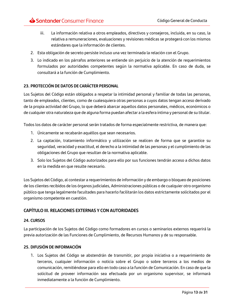- iii. La información relativa a otros empleados, directivos y consejeros, incluida, en su caso, la relativa a remuneraciones, evaluaciones y revisiones médicas se protegerá con los mismos estándares que la información de clientes.
- 2. Esta obligación de secreto persiste incluso una vez terminada la relación con el Grupo.
- 3. Lo indicado en los párrafos anteriores se entiende sin perjuicio de la atención de requerimientos formulados por autoridades competentes según la normativa aplicable. En caso de duda, se consultará a la función de Cumplimiento.

#### <span id="page-12-0"></span>**23. PROTECCIÓN DE DATOS DE CARÁCTER PERSONAL**

Los Sujetos del Código están obligados a respetar la intimidad personal y familiar de todas las personas, tanto de empleados, clientes, como de cualesquiera otras personas a cuyos datos tengan acceso derivado de la propia actividad del Grupo, lo que deberá abarcar aquellos datos personales, médicos, económicos o de cualquier otra naturaleza que de alguna forma puedan afectar a la esfera íntima y personal de su titular.

Todos los datos de carácter personal serán tratados de forma especialmente restrictiva, de manera que:

- 1. Únicamente se recabarán aquéllos que sean necesarios.
- 2. La captación, tratamiento informático y utilización se realicen de forma que se garantice su seguridad, veracidad y exactitud, el derecho a la intimidad de las personas y el cumplimiento de las obligaciones del Grupo que resultan de la normativa aplicable.
- 3. Solo los Sujetos del Código autorizados para ello por sus funciones tendrán acceso a dichos datos en la medida en que resulte necesario.

Los Sujetos del Código, al contestar a requerimientos de información y de embargo o bloqueo de posiciones de los clientes recibidos de los órganos judiciales, Administraciones públicas o de cualquier otro organismo público que tenga legalmente facultades para hacerlo facilitarán los datos estrictamente solicitados por el organismo competente en cuestión.

# <span id="page-12-1"></span>**CAPÍTULO III. RELACIONES EXTERNAS Y CON AUTORIDADES**

#### <span id="page-12-2"></span>**24. CURSOS**

La participación de los Sujetos del Código como formadores en cursos o seminarios externos requerirá la previa autorización de las Funciones de Cumplimiento, de Recursos Humanos y de su responsable.

#### <span id="page-12-3"></span>**25. DIFUSIÓN DE INFORMACIÓN**

1. Los Sujetos del Código se abstendrán de transmitir, por propia iniciativa o a requerimiento de terceros, cualquier información o noticia sobre el Grupo o sobre terceros a los medios de comunicación, remitiéndose para ello en todo caso a la función de Comunicación. En caso de que la solicitud de proveer información sea efectuada por un organismo supervisor, se informará inmediatamente a la función de Cumplimiento.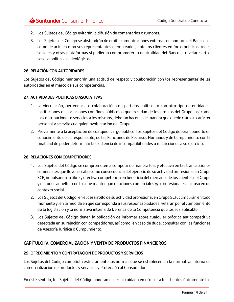- 2. Los Sujetos del Código evitarán la difusión de comentarios o rumores.
- 3. Los Sujetos del Código se abstendrán de emitir comunicaciones externas en nombre del Banco, así como de actuar como sus representantes o empleados, ante los clientes en foros públicos, redes sociales y otras plataformas si pudieran comprometer la neutralidad del Banco al revelar ciertos sesgos políticos o ideológicos.

#### <span id="page-13-0"></span>**26. RELACIÓN CON AUTORIDADES**

Los Sujetos del Código mantendrán una actitud de respeto y colaboración con los representantes de las autoridades en el marco de sus competencias.

#### <span id="page-13-1"></span>**27. ACTIVIDADES POLÍTICAS O ASOCIATIVAS**

- 1. La vinculación, pertenencia o colaboración con partidos políticos o con otro tipo de entidades, instituciones o asociaciones con fines públicos o que excedan de los propios del Grupo, así como las contribuciones o servicios a los mismos, deberán hacerse de manera que quede claro su carácter personal y se evite cualquier involucración del Grupo.
- 2. Previamente a la aceptación de cualquier cargo público, los Sujetos del Código deberán ponerlo en conocimiento de su responsable, de las Funciones de Recursos Humanos y de Cumplimiento con la finalidad de poder determinar la existencia de incompatibilidades o restricciones a su ejercicio.

#### <span id="page-13-2"></span>**28. RELACIONES CON COMPETIDORES**

- 1. Los Sujetos del Código se comprometen a competir de manera leal y efectiva en las transacciones comerciales que lleven a cabo como consecuencia del ejercicio de su actividad profesional en Grupo SCF, impulsando la libre y efectiva competencia en beneficio del mercado, de los clientes del Grupo y de todos aquellos con los que mantengan relaciones comerciales y/o profesionales, incluso en un contexto social.
- 2. Los Sujetos del Código, en el desarrollo de su actividad profesional en Grupo SCF, cumplirán en todo momento y, en la medida en que corresponda a sus responsabilidades, velarán por el cumplimiento de la legislación y la normativa interna de Defensa de la Competencia que les sea aplicable.
- 3. Los Sujetos del Código tienen la obligación de informar sobre cualquier práctica anticompetitiva detectada en su relación con competidores, así como, en caso de duda, consultar con las funciones de Asesoría Jurídica o Cumplimiento.

# <span id="page-13-3"></span>**CAPÍTULO IV. COMERCIALIZACIÓN Y VENTA DE PRODUCTOS FINANCIEROS**

#### <span id="page-13-4"></span>**29. OFRECIMIENTO Y CONTRATACIÓN DE PRODUCTOS Y SERVICIOS**

Los Sujetos del Código cumplirán estrictamente las normas que se establecen en la normativa interna de comercialización de productos y servicios y Protección al Consumidor.

En este sentido, los Sujetos del Código pondrán especial cuidado en ofrecer a los clientes únicamente los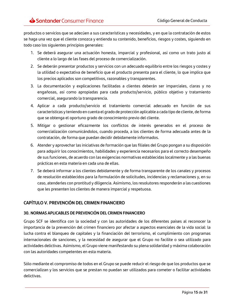productos o servicios que se adecúen a sus características y necesidades, y en que la contratación de estos se haga una vez que el cliente conozca y entienda su contenido, beneficios, riesgos y costes, siguiendo en todo caso los siguientes principios generales:

- 1. Se deberá asegurar una actuación honesta, imparcial y profesional, así como un trato justo al cliente a lo largo de las fases del proceso de comercialización.
- 2. Se deberán presentar productos y servicios con un adecuado equilibrio entre los riesgos y costes y la utilidad o expectativa de beneficio que el producto presenta para el cliente, lo que implica que los precios aplicados son competitivos, razonables y transparentes.
- 3. La documentación y explicaciones facilitadas a clientes deberán ser imparciales, claras y no engañosas, así como apropiadas para cada producto/servicio, público objetivo y tratamiento comercial, asegurando la transparencia.
- 4. Aplicar a cada producto/servicio el tratamiento comercial adecuado en función de sus características y teniendo en cuenta el grado de protección aplicable a cada tipo de cliente, de forma que se obtenga el oportuno grado de conocimiento previo del cliente.
- 5. Mitigar o gestionar eficazmente los conflictos de interés generados en el proceso de comercialización comunicándolos, cuando proceda, a los clientes de forma adecuada antes de la contratación, de forma que puedan decidir debidamente informados.
- 6. Atender y aprovechar las iniciativas de formación que las filiales del Grupo pongan a su disposición para adquirir los conocimientos, habilidades y experiencia necesarios para el correcto desempeño de sus funciones, de acuerdo con las exigencias normativas establecidas localmente y a las buenas prácticas en esta materia en cada una de ellas.
- 7. Se deberá informar a los clientes debidamente y de forma transparente de los canales y procesos de resolución establecidos para la formulación de solicitudes, incidencias y reclamaciones y, en su caso, atenderles con prontitud y diligencia. Asimismo, los resolutores responderán a las cuestiones que les presenten los clientes de manera imparcial y respetuosa.

# <span id="page-14-0"></span>**CAPÍTULO V. PREVENCIÓN DEL CRIMEN FINANCIERO**

# <span id="page-14-1"></span>**30. NORMAS APLICABLES DE PREVENCIÓN DEL CRIMEN FINANCIERO**

Grupo SCF se identifica con la sociedad y con las autoridades de los diferentes países al reconocer la importancia de la prevención del crimen financiero por afectar a aspectos esenciales de la vida social: la lucha contra el blanqueo de capitales y la financiación del terrorismo, el cumplimiento con programas internacionales de sanciones, y la necesidad de asegurar que el Grupo no facilite o sea utilizado para actividades delictivas. Asimismo, el Grupo viene manifestando su plena solidaridad y máxima colaboración con las autoridades competentes en esta materia.

Sólo mediante el compromiso de todos en el Grupo se puede reducir el riesgo de que los productos que se comercializan y los servicios que se prestan no puedan ser utilizados para cometer o facilitar actividades delictivas.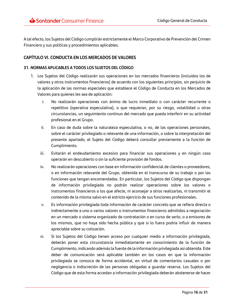A tal efecto, los Sujetos del Código cumplirán estrictamente el Marco Corporativo de Prevención del Crimen Financiero y sus políticas y procedimientos aplicables.

# <span id="page-15-0"></span>**CAPÍTULO VI. CONDUCTA EN LOS MERCADOS DE VALORES**

#### <span id="page-15-1"></span>**31. NORMAS APLICABLES A TODOS LOS SUJETOS DEL CÓDIGO**

- 1. Los Sujetos del Código realizarán sus operaciones en los mercados financieros (incluidos los de valores y otros instrumentos financieros) de acuerdo con los siguientes principios, sin perjuicio de la aplicación de las normas especiales que establece el Código de Conducta en los Mercados de Valores para quienes les sea de aplicación:
	- i. No realizarán operaciones con ánimo de lucro inmediato o con carácter recurrente o repetitivo (operativa especulativa), o que requieran, por su riesgo, volatilidad u otras circunstancias, un seguimiento continuo del mercado que pueda interferir en su actividad profesional en el Grupo.
	- ii. En caso de duda sobre la naturaleza especulativa, o no, de las operaciones personales, sobre el carácter privilegiado o relevante de una información, o sobre la interpretación del presente apartado, el Sujeto del Código deberá consultar previamente a la función de Cumplimiento.
	- iii. Evitarán el endeudamiento excesivo para financiar sus operaciones y en ningún caso operarán en descubierto o sin la suficiente provisión de fondos.
	- iv. No realizarán operaciones con base en información confidencial de clientes o proveedores, o en información relevante del Grupo, obtenida en el transcurso de su trabajo o por las funciones que tengan encomendadas. En particular, los Sujetos del Código que dispongan de información privilegiada no podrán realizar operaciones sobre los valores o instrumentos financieros a los que afecte, ni aconsejar a otros realizarlas, ni transmitir el contenido de la misma salvo en el estricto ejercicio de sus funciones profesionales.
	- v. Es información privilegiada toda información de carácter concreto que se refiera directa o indirectamente a uno o varios valores o instrumentos financieros admitidos a negociación en un mercado o sistema organizado de contratación o en curso de serlo, o a emisores de los mismos, que no haya sido hecha pública y que si lo fuera podría influir de manera apreciable sobre su cotización.
	- vi. Si los Sujetos del Código tienen acceso por cualquier medio a información privilegiada, deberán poner esta circunstancia inmediatamente en conocimiento de la función de Cumplimiento, indicando además la fuente de la información privilegiada así obtenida. Este deber de comunicación será aplicable también en los casos en que la información privilegiada se conozca de forma accidental, en virtud de comentarios casuales o por negligencia o indiscreción de las personas obligadas a guardar reserva. Los Sujetos del Código que de esta forma accedan a información privilegiada deberán abstenerse de hacer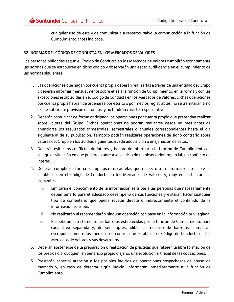cualquier uso de esta y de comunicarla a terceros, salvo la comunicación a la función de Cumplimiento antes indicada.

#### <span id="page-16-0"></span>**32. NORMAS DEL CÓDIGO DE CONDUCTA EN LOS MERCADOS DE VALORES**

Las personas obligadas según el Código de Conducta en los Mercados de Valores cumplirán estrictamente las normas que se establecen en dicho código y observarán una especial diligencia en el cumplimiento de las normas siguientes:

- 1. Las operaciones que hagan por cuenta propia deberán realizarlas a través de una entidad del Grupo y deberán informar mensualmente sobre ellas a la función de Cumplimiento, en la forma y con las excepciones establecidas en el Código de Conducta en los Mercados de Valores. Dichas operaciones por cuenta propia habrán de ordenarse por escrito o por medios registrables, no se tramitarán si no existe suficiente provisión de fondos, y no tendrán carácter especulativo.
- 2. Deberán comunicar de forma anticipada las operaciones por cuenta propia que pretendan realizar sobre valores del Grupo. Dichas operaciones no podrán realizarse desde un mes antes de anunciarse los resultados trimestrales, semestrales o anuales correspondientes hasta el día siguiente al de su publicación. Tampoco podrán realizarse operaciones de signo contrario sobre valores del Grupo en los 30 días siguientes a cada adquisición o enajenación de estos.
- 3. Deberán evitar los conflictos de interés y habrán de informar a la función de Cumplimiento de cualquier situación en que pudiera plantearse, a juicio de un observador imparcial, un conflicto de interés.
- 4. Deberán cumplir de forma escrupulosa las cautelas que respecto a la información sensible se establecen en el Código de Conducta en los Mercados de Valores y, muy en particular, las siguientes:
	- i. Limitarán el conocimiento de la información sensible a las personas que necesariamente deben tenerlo para el adecuado desempeño de sus funciones y evitarán hacer cualquier tipo de comentario que pueda revelar directa o indirectamente el contenido de la información sensible.
	- ii. No realizarán ni recomendarán ninguna operación con base en la información privilegiada.
	- iii. Respetarán estrictamente las barreras establecidas por la función de Cumplimiento para cada área separada y, de ser imprescindible el traspaso de barreras, cumplirán escrupulosamente las medidas de control que establece el Código de Conducta en los Mercados de Valores y sus desarrollos.
- 5. Deberán abstenerse de la preparación o realización de prácticas que falseen la libre formación de los precios o provoquen, en beneficio propio o ajeno, una evolución artificial de las cotizaciones.
- 6. Prestarán especial atención a los posibles indicios de operaciones sospechosas de abuso de mercado y, en caso de detectar algún indicio, informarán inmediatamente a la función de Cumplimiento.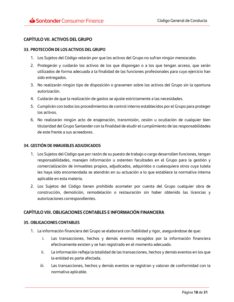# <span id="page-17-0"></span>**CAPÍTULO VII. ACTIVOS DEL GRUPO**

#### <span id="page-17-1"></span>**33. PROTECCIÓN DE LOS ACTIVOS DEL GRUPO**

- 1. Los Sujetos del Código velarán por que los activos del Grupo no sufran ningún menoscabo.
- 2. Protegerán y cuidarán los activos de los que dispongan o a los que tengan acceso, que serán utilizados de forma adecuada a la finalidad de las funciones profesionales para cuyo ejercicio han sido entregados.
- 3. No realizarán ningún tipo de disposición o gravamen sobre los activos del Grupo sin la oportuna autorización.
- 4. Cuidarán de que la realización de gastos se ajuste estrictamente a las necesidades.
- 5. Cumplirán con todos los procedimientos de control interno establecidos por el Grupo para proteger los activos.
- 6. No realizarán ningún acto de enajenación, transmisión, cesión u ocultación de cualquier bien titularidad del Grupo Santander con la finalidad de eludir el cumplimiento de las responsabilidades de este frente a sus acreedores.

#### <span id="page-17-2"></span>**34. GESTIÓN DE INMUEBLES ADJUDICADOS**

- 1. Los Sujetos del Código que por razón de su puesto de trabajo o cargo desarrollen funciones, tengan responsabilidades, manejen información u ostenten facultades en el Grupo para la gestión y comercialización de inmuebles propios, adjudicados, adquiridos o cualesquiera otros cuya tutela les haya sido encomendada se atendrán en su actuación a lo que establece la normativa interna aplicable en esta materia.
- 2. Los Sujetos del Código tienen prohibido acometer por cuenta del Grupo cualquier obra de construcción, demolición, remodelación o restauración sin haber obtenido las licencias y autorizaciones correspondientes.

# <span id="page-17-3"></span>**CAPÍTULO VIII. OBLIGACIONES CONTABLES E INFORMACIÓN FINANCIERA**

#### <span id="page-17-4"></span>**35. OBLIGACIONES CONTABLES**

- 1. La información financiera del Grupo se elaborará con fiabilidad y rigor, asegurándose de que:
	- i. Las transacciones, hechos y demás eventos recogidos por la información financiera efectivamente existen y se han registrado en el momento adecuado.
	- ii. La información refleja la totalidad de las transacciones, hechos y demás eventos en los que la entidad es parte afectada.
	- iii. Las transacciones, hechos y demás eventos se registran y valoran de conformidad con la normativa aplicable.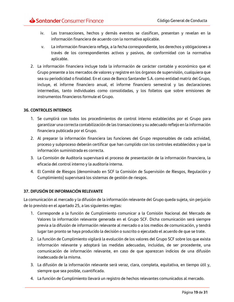- iv. Las transacciones, hechos y demás eventos se clasifican, presentan y revelan en la información financiera de acuerdo con la normativa aplicable.
- v. La información financiera refleja, a la fecha correspondiente, los derechos y obligaciones a través de los correspondientes activos y pasivos, de conformidad con la normativa aplicable.
- 2. La información financiera incluye toda la información de carácter contable y económico que el Grupo presente a los mercados de valores y registre en los órganos de supervisión, cualquiera que sea su periodicidad o finalidad. En el caso de Banco Santander S.A. como entidad matriz del Grupo, incluye, el informe financiero anual, el informe financiero semestral y las declaraciones intermedias, tanto individuales como consolidadas, y los folletos que sobre emisiones de instrumentos financieros formule el Grupo.

#### <span id="page-18-0"></span>**36. CONTROLES INTERNOS**

- 1. Se cumplirá con todos los procedimientos de control interno establecidos por el Grupo para garantizar una correcta contabilización de las transacciones y su adecuado reflejo en la información financiera publicada por el Grupo.
- 2. Al preparar la información financiera las funciones del Grupo responsables de cada actividad, proceso y subproceso deberán certificar que han cumplido con los controles establecidos y que la información suministrada es correcta.
- 3. La Comisión de Auditoría supervisará el proceso de presentación de la información financiera, la eficacia del control interno y la auditoría interna.
- 4. El Comité de Riesgos (denominado en SCF la Comisión de Supervisión de Riesgos, Regulación y Cumplimiento) supervisará los sistemas de gestión de riesgos.

#### <span id="page-18-1"></span>**37. DIFUSIÓN DE INFORMACIÓN RELEVANTE**

La comunicación al mercado y la difusión de la información relevante del Grupo queda sujeta, sin perjuicio de lo previsto en el apartado 25, a las siguientes reglas:

- 1. Corresponde a la función de Cumplimiento comunicar a la Comisión Nacional del Mercado de Valores la información relevante generada en el Grupo SCF. Dicha comunicación será siempre previa a la difusión de información relevante al mercado o a los medios de comunicación, y tendrá lugar tan pronto se haya producido la decisión o suscrito o ejecutado el acuerdo de que se trate.
- 2. La función de Cumplimiento vigilará la evolución de los valores del Grupo SCF sobre los que exista información relevante y adoptará las medidas adecuadas, incluidas, de ser procedente, una comunicación de información relevante, en caso de que aparezcan indicios de una difusión inadecuada de la misma.
- 3. La difusión de la información relevante será veraz, clara, completa, equitativa, en tiempo útil y, siempre que sea posible, cuantificada.
- 4. La función de Cumplimiento llevará un registro de hechos relevantes comunicados al mercado.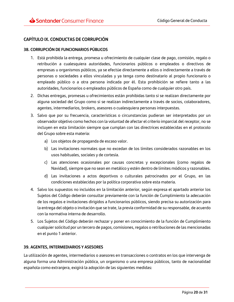# <span id="page-19-0"></span>**CAPÍTULO IX. CONDUCTAS DE CORRUPCIÓN**

#### <span id="page-19-1"></span>**38. CORRUPCIÓN DE FUNCIONARIOS PÚBLICOS**

- 1. Está prohibida la entrega, promesa u ofrecimiento de cualquier clase de pago, comisión, regalo o retribución a cualesquiera autoridades, funcionarios públicos o empleados o directivos de empresas u organismos públicos, ya se efectúe directamente a ellos o indirectamente a través de personas o sociedades a ellos vinculadas y ya tenga como destinatario al propio funcionario o empleado público o a otra persona indicada por él. Esta prohibición se refiere tanto a las autoridades, funcionarios o empleados públicos de España como de cualquier otro país.
- 2. Dichas entregas, promesas u ofrecimientos están prohibidas tanto si se realizan directamente por alguna sociedad del Grupo como si se realizan indirectamente a través de socios, colaboradores, agentes, intermediarios, brokers, asesores o cualesquiera personas interpuestas.
- 3. Salvo que por su frecuencia, características o circunstancias pudieran ser interpretados por un observador objetivo como hechos con la voluntad de afectar el criterio imparcial del receptor, no se incluyen en esta limitación siempre que cumplan con las directrices establecidas en el protocolo del Grupo sobre esta materia:
	- a) Los objetos de propaganda de escaso valor.
	- b) Las invitaciones normales que no excedan de los límites considerados razonables en los usos habituales, sociales y de cortesía.
	- c) Las atenciones ocasionales por causas concretas y excepcionales (como regalos de Navidad), siempre que no sean en metálico y estén dentro de límites módicos y razonables.
	- d) Las invitaciones a actos deportivos o culturales patrocinados por el Grupo, en las condiciones establecidas por la política corporativa sobre esta materia.
- 4. Salvo los supuestos no incluidos en la limitación anterior, según expresa el apartado anterior los Sujetos del Código deberán consultar previamente con la función de Cumplimiento la adecuación de los regalos e invitaciones dirigidos a funcionarios públicos, siendo precisa su autorización para la entrega del objeto o invitación que se trate, la previa conformidad de su responsable, de acuerdo con la normativa interna de desarrollo.
- 5. Los Sujetos del Código deberán rechazar y poner en conocimiento de la función de Cumplimiento cualquier solicitud por un tercero de pagos, comisiones, regalos o retribuciones de las mencionadas en el punto 1 anterior.

#### <span id="page-19-2"></span>**39. AGENTES, INTERMEDIARIOS Y ASESORES**

La utilización de agentes, intermediarios o asesores en transacciones o contratos en los que intervenga de alguna forma una Administración pública, un organismo o una empresa públicos, tanto de nacionalidad española como extranjera, exigirá la adopción de las siguientes medidas: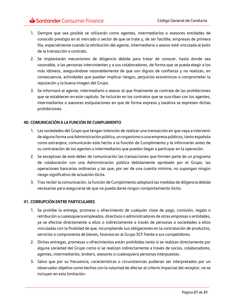- 1. Siempre que sea posible se utilizarán como agentes, intermediarios o asesores entidades de conocido prestigio en el mercado o sector de que se trate y, de ser factible, empresas de primera fila, especialmente cuando la retribución del agente, intermediario o asesor esté vinculada al éxito de la transacción o contrato.
- 2. Se implantarán mecanismos de diligencia debida para tratar de conocer, hasta donde sea razonable, a las personas intervinientes y a sus colaboradores, de forma que se pueda elegir a los más idóneos, asegurándose razonablemente de que son dignos de confianza y no realizan, en consecuencia, actividades que puedan implicar riesgos, perjuicios económicos o comprometer la reputación y la buena imagen del Grupo.
- 3. Se informará al agente, intermediario o asesor al que finalmente se contrate de las prohibiciones que se establecen en este capítulo. Se incluirán en los contratos que se suscriban con los agentes, intermediarios o asesores estipulaciones en que de forma expresa y taxativa se expresen dichas prohibiciones.

#### <span id="page-20-0"></span>**40. COMUNICACIÓN A LA FUNCIÓN DE CUMPLIMIENTO**

- 1. Las sociedades del Grupo que tengan intención de realizar una transacción en que vaya a intervenir de alguna forma una Administración pública, un organismo o una empresa públicos, tanto española como extranjera, comunicarán este hecho a la función de Cumplimiento y le informarán antes de su contratación de los agentes o intermediarios que puedan llegar a participar en la operación.
- 2. Se exceptúan de este deber de comunicación las transacciones que formen parte de un programa de colaboración con una Administración pública debidamente aprobado por el Grupo, las operaciones bancarias ordinarias y las que, por ser de una cuantía mínima, no supongan ningún riesgo significativo de actuación ilícita.
- 3. Tras recibir la comunicación, la función de Cumplimiento adoptará las medidas de diligencia debida necesarias para asegurarse de que no pueda darse ningún comportamiento ilícito.

#### <span id="page-20-1"></span>**41. CORRUPCIÓN ENTRE PARTICULARES**

- 1. Se prohíbe la entrega, promesa u ofrecimiento de cualquier clase de pago, comisión, regalo o retribución a cualesquiera empleados, directivos o administradores de otras empresas o entidades, ya se efectúe directamente a ellos o indirectamente a través de personas o sociedades a ellos vinculadas con la finalidad de que, incumpliendo sus obligaciones en la contratación de productos, servicios o compraventa de bienes, favorezcan al Grupo SCF frente a sus competidores.
- 2. Dichas entregas, promesas u ofrecimientos están prohibidas tanto si se realizan directamente por alguna sociedad del Grupo como si se realizan indirectamente a través de socios, colaboradores, agentes, intermediarios, brokers, asesores o cualesquiera personas interpuestas.
- 3. Salvo que por su frecuencia, características o circunstancias pudieran ser interpretados por un observador objetivo como hechos con la voluntad de afectar el criterio imparcial del receptor, no se incluyen en esta limitación: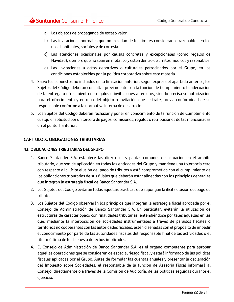- a) Los objetos de propaganda de escaso valor.
- b) Las invitaciones normales que no excedan de los límites considerados razonables en los usos habituales, sociales y de cortesía.
- c) Las atenciones ocasionales por causas concretas y excepcionales (como regalos de Navidad), siempre que no sean en metálico y estén dentro de límites módicos y razonables.
- d) Las invitaciones a actos deportivos o culturales patrocinados por el Grupo, en las condiciones establecidas por la política corporativa sobre esta materia.
- 4. Salvo los supuestos no incluidos en la limitación anterior, según expresa el apartado anterior, los Sujetos del Código deberán consultar previamente con la función de Cumplimiento la adecuación de la entrega u ofrecimiento de regalos e invitaciones a terceros, siendo precisa su autorización para el ofrecimiento y entrega del objeto o invitación que se trate, previa conformidad de su responsable conforme a la normativa interna de desarrollo.
- 5. Los Sujetos del Código deberán rechazar y poner en conocimiento de la función de Cumplimiento cualquier solicitud por un tercero de pagos, comisiones, regalos o retribuciones de las mencionadas en el punto 1 anterior.

# <span id="page-21-0"></span>**CAPÍTULO X. OBLIGACIONES TRIBUTARIAS**

#### <span id="page-21-1"></span>**42. OBLIGACIONES TRIBUTARIAS DEL GRUPO**

- 1. Banco Santander S.A. establece las directrices y pautas comunes de actuación en el ámbito tributario, que son de aplicación en todas las entidades del Grupo y mantiene una tolerancia cero con respecto a la ilícita elusión del pago de tributos y está comprometida con el cumplimiento de las obligaciones tributarias de sus filiales que deberán estar alineadas con los principios generales que integran la estrategia fiscal de Banco Santander S.A.
- 2. Los Sujetos del Código evitarán todas aquellas prácticas que supongan la ilícita elusión del pago de tributos.
- 3. Los Sujetos del Código observarán los principios que integran la estrategia fiscal aprobada por el Consejo de Administración de Banco Santander S.A. En particular, evitarán la utilización de estructuras de carácter opaco con finalidades tributarias, entendiéndose por tales aquéllas en las que, mediante la interposición de sociedades instrumentales a través de paraísos fiscales o territorios no cooperantes con las autoridades fiscales, estén diseñadas con el propósito de impedir el conocimiento por parte de las autoridades fiscales del responsable final de las actividades o el titular último de los bienes o derechos implicados.
- 4. El Consejo de Administración de Banco Santander S.A. es el órgano competente para aprobar aquellas operaciones que se consideren de especial riesgo fiscal y estará informado de las políticas fiscales aplicadas por el Grupo. Antes de formular las cuentas anuales y presentar la declaración del Impuesto sobre Sociedades, el responsable de la función de Asesoría Fiscal informará al Consejo, directamente o a través de la Comisión de Auditoría, de las políticas seguidas durante el ejercicio.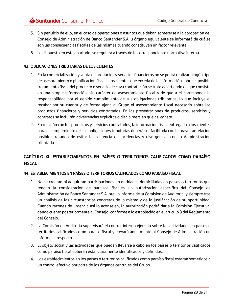- 5. Sin perjuicio de ello, en el caso de operaciones o asuntos que deban someterse a la aprobación del Consejo de Administración de Banco Santander S.A. u órgano equivalente se informará de cuáles son las consecuencias fiscales de las mismas cuando constituyan un factor relevante.
- 6. Lo dispuesto en este apartado, se regulará a través de la correspondiente normativa interna.

#### <span id="page-22-0"></span>**43. OBLIGACIONES TRIBUTARIAS DE LOS CLIENTES**

- 1. En la comercialización y venta de productos y servicios financieros no se podrá realizar ningún tipo de asesoramiento o planificación fiscal a los clientes que exceda de la información sobre el posible tratamiento fiscal del producto o servicio de cuya contratación se trate advirtiendo de que consiste en una simple información, sin carácter de asesoramiento fiscal y de que a él corresponde la responsabilidad por el debido cumplimiento de sus obligaciones tributarias, lo que incluye el recabar por su cuenta y de forma ajena al Grupo el asesoramiento fiscal necesario sobre los productos financieros y servicios contratados. En las presentaciones de productos, servicios y contratos se incluirán advertencias explícitas o disclaimers en que así conste.
- 2. En relación con los productos y servicios contratados, la información fiscal entregada a los clientes para el cumplimiento de sus obligaciones tributarias deberá ser facilitada con la mayor antelación posible, tratando de evitar la existencia de incidencias y divergencias con la Administración tributaria.

# <span id="page-22-1"></span>**CAPÍTULO XI. ESTABLECIMIENTOS EN PAÍSES O TERRITORIOS CALIFICADOS COMO PARAÍSO FISCAL**

#### <span id="page-22-2"></span>**44. ESTABLECIMIENTOS EN PAÍSES O TERRITORIOS CALIFICADOS COMO PARAÍSO FISCAL**

- 1. No se crearán ni adquirirán participaciones en entidades domiciliadas en países o territorios que tengan la consideración de paraísos fiscales sin autorización específica del Consejo de Administración de Banco Santander S.A. previo informe de la Comisión de Auditoría, y siempre tras un análisis de las circunstancias concretas de la misma y de la justificación de su oportunidad. Cuando razones de urgencia así lo aconsejen, la autorización podrá darla la Comisión Ejecutiva, dando cuenta posteriormente al Consejo, conforme a lo establecido en el artículo 3 del Reglamento del Consejo.
- 2. La Comisión de Auditoría supervisará el control interno ejercido sobre las actividades en países o territorios calificados como paraíso fiscal y elevará anualmente al Consejo de Administración un informe al respecto.
- 3. El objeto social y las actividades que puedan llevarse a cabo en los países o territorios calificados como paraíso fiscal deberán estar claramente identificados y definidos.
- 4. Los establecimientos en los países o territorios calificados como paraíso fiscal estarán sometidos a un control efectivo por parte de los órganos centrales del Grupo.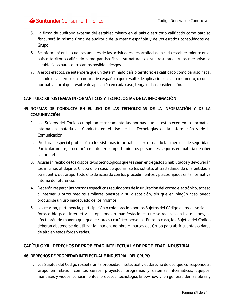- 5. La firma de auditoría externa del establecimiento en el país o territorio calificado como paraíso fiscal será la misma firma de auditoría de la matriz española y de los estados consolidados del Grupo.
- 6. Se informará en las cuentas anuales de las actividades desarrolladas en cada establecimiento en el país o territorio calificado como paraíso fiscal, su naturaleza, sus resultados y los mecanismos establecidos para controlar los posibles riesgos.
- 7. A estos efectos, se entenderá que un determinado país o territorio es calificado como paraíso fiscal cuando de acuerdo con la normativa española que resulte de aplicación en cada momento, o con la normativa local que resulte de aplicación en cada caso, tenga dicha consideración.

# <span id="page-23-0"></span>**CAPÍTULO XII. SISTEMAS INFORMÁTICOS Y TECNOLOGÍAS DE LA INFORMACIÓN**

# <span id="page-23-1"></span>**45. NORMAS DE CONDUCTA EN EL USO DE LAS TECNOLOGÍAS DE LA INFORMACIÓN Y DE LA COMUNICACIÓN**

- 1. Los Sujetos del Código cumplirán estrictamente las normas que se establecen en la normativa interna en materia de Conducta en el Uso de las Tecnologías de la Información y de la Comunicación.
- 2. Prestarán especial protección a los sistemas informáticos, extremando las medidas de seguridad. Particularmente, procurarán mantener comportamientos personales seguros en materia de ciber seguridad.
- 3. Acusarán recibo de los dispositivos tecnológicos que les sean entregados o habilitados y devolverán los mismos al dejar el Grupo o, en caso de que así se les solicite, al trasladarse de una entidad a otra dentro del Grupo, todo ello de acuerdo con los procedimientos y plazos fijados en la normativa interna de referencia.
- 4. Deberán respetar las normas específicas reguladoras de la utilización del correo electrónico, acceso a Internet u otros medios similares puestos a su disposición, sin que en ningún caso pueda producirse un uso inadecuado de los mismos.
- 5. La creación, pertenencia, participación o colaboración por los Sujetos del Código en redes sociales, foros o blogs en Internet y las opiniones o manifestaciones que se realicen en los mismos, se efectuarán de manera que quede claro su carácter personal. En todo caso, los Sujetos del Código deberán abstenerse de utilizar la imagen, nombre o marcas del Grupo para abrir cuentas o darse de alta en estos foros y redes.

#### <span id="page-23-2"></span>**CAPÍTULO XIII. DERECHOS DE PROPIEDAD INTELECTUAL Y DE PROPIEDAD INDUSTRIAL**

#### <span id="page-23-3"></span>**46. DERECHOS DE PROPIEDAD INTELECTUAL E INDUSTRIAL DEL GRUPO**

1. Los Sujetos del Código respetarán la propiedad intelectual y el derecho de uso que corresponde al Grupo en relación con los cursos, proyectos, programas y sistemas informáticos; equipos, manuales y videos; conocimientos, procesos, tecnología, know-how y, en general, demás obras y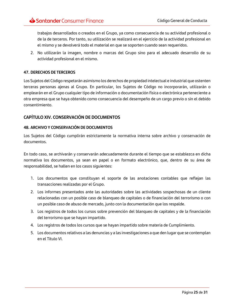trabajos desarrollados o creados en el Grupo, ya como consecuencia de su actividad profesional o de la de terceros. Por tanto, su utilización se realizará en el ejercicio de la actividad profesional en el mismo y se devolverá todo el material en que se soporten cuando sean requeridos.

2. No utilizarán la imagen, nombre o marcas del Grupo sino para el adecuado desarrollo de su actividad profesional en el mismo.

#### <span id="page-24-0"></span>**47. DERECHOS DE TERCEROS**

Los Sujetos del Código respetarán asimismo los derechos de propiedad intelectual e industrial que ostenten terceras personas ajenas al Grupo. En particular, los Sujetos de Código no incorporarán, utilizarán o emplearán en el Grupo cualquier tipo de información o documentación física o electrónica perteneciente a otra empresa que se haya obtenido como consecuencia del desempeño de un cargo previo o sin el debido consentimiento.

# <span id="page-24-1"></span>**CAPÍTULO XIV. CONSERVACIÓN DE DOCUMENTOS**

#### <span id="page-24-2"></span>**48. ARCHIVO Y CONSERVACIÓN DE DOCUMENTOS**

Los Sujetos del Código cumplirán estrictamente la normativa interna sobre archivo y conservación de documentos.

En todo caso, se archivarán y conservarán adecuadamente durante el tiempo que se establezca en dicha normativa los documentos, ya sean en papel o en formato electrónico, que, dentro de su área de responsabilidad, se hallen en los casos siguientes:

- 1. Los documentos que constituyan el soporte de las anotaciones contables que reflejan las transacciones realizadas por el Grupo.
- 2. Los informes presentados ante las autoridades sobre las actividades sospechosas de un cliente relacionadas con un posible caso de blanqueo de capitales o de financiación del terrorismo o con un posible caso de abuso de mercado, junto con la documentación que los respalde.
- 3. Los registros de todos los cursos sobre prevención del blanqueo de capitales y de la financiación del terrorismo que se hayan impartido.
- 4. Los registros de todos los cursos que se hayan impartido sobre materia de Cumplimiento.
- 5. Los documentos relativos a las denuncias y a las investigaciones a que den lugar que se contemplan en el Título VI.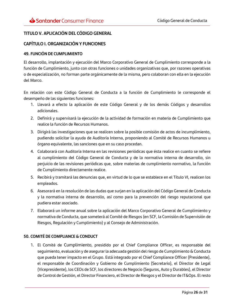# <span id="page-25-0"></span>**TITULO V. APLICACIÓN DEL CÓDIGO GENERAL**

#### <span id="page-25-1"></span>**CAPÍTULO I. ORGANIZACIÓN Y FUNCIONES**

#### <span id="page-25-2"></span>**49. FUNCIÓN DE CUMPLIMIENTO**

El desarrollo, implantación y ejecución del Marco Corporativo General de Cumplimiento corresponde a la función de Cumplimiento, junto con otras funciones o unidades organizativas que, por razones operativas o de especialización, no forman parte orgánicamente de la misma, pero colaboran con ella en la ejecución del Marco.

En relación con este Código General de Conducta a la función de Cumplimiento le corresponde el desempeño de las siguientes funciones:

- 1. Llevará a efecto la aplicación de este Código General y de los demás Códigos y desarrollos adicionales.
- 2. Definirá y supervisará la ejecución de la actividad de formación en materia de Cumplimiento que realice la función de Recursos Humanos.
- 3. Dirigirá las investigaciones que se realicen sobre la posible comisión de actos de incumplimiento, pudiendo solicitar la ayuda de Auditoría Interna, proponiendo al Comité de Recursos Humanos u órgano equivalente, las sanciones que en su caso procedan.
- 4. Colaborará con Auditoría Interna en las revisiones periódicas que ésta realice en cuanto se refiere al cumplimiento del Código General de Conducta y de la normativa interna de desarrollo, sin perjuicio de las revisiones periódicas que, sobre materias de cumplimiento normativo, la función de Cumplimiento directamente realice.
- 5. Recibirá y tramitará las denuncias que, en virtud de lo que se establece en el Título VI, realicen los empleados.
- 6. Asesorará en la resolución de las dudas que surjan en la aplicación del Código General de Conducta y la normativa interna de desarrollo, así como para la prevención del riesgo reputacional que pudiera estar asociado.
- 7. Elaborará un informe anual sobre la aplicación del Marco Corporativo General de Cumplimiento y normativa de Conducta, que someterá al Comité de Riesgos (en SCF, la Comisión de Supervisión de Riesgos, Regulación y Cumplimiento) y al Consejo de Administración.

#### <span id="page-25-3"></span>**50. COMITÉ DE COMPLIANCE & CONDUCT**

1. El Comité de Cumplimiento, presidido por el Chief Compliance Officer, es responsable del seguimiento, evaluación y de asegurar la adecuada gestión del riesgo de Cumplimiento & Conducta que pueda tener impacto en el Grupo. Está integrado por el Chief Compliance Officer (Presidente), el responsable de Coordinación y Gobierno de Cumplimiento (Secretario), el Director de Legal (Vicepresidente), los CEOs de SCF, los directores de Negocio (Seguros, Auto y Durables), el Director de Control de Gestión, el Director Financiero, el Director de Riesgos y el Director de IT&Ops. El resto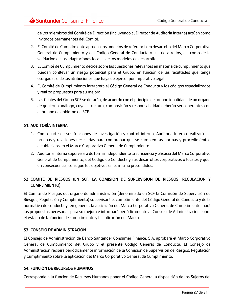de los miembros del Comité de Dirección (incluyendo al Director de Auditoría Interna) actúan como invitados permanentes del Comité.

- 2. El Comité de Cumplimiento aprueba los modelos de referencia en desarrollo del Marco Corporativo General de Cumplimiento y del Código General de Conducta y sus desarrollos, así como de la validación de las adaptaciones locales de los modelos de desarrollo.
- 3. El Comité de Cumplimiento decide sobre las cuestiones relevantes en materia de cumplimiento que puedan conllevar un riesgo potencial para el Grupo, en función de las facultades que tenga otorgadas o de las atribuciones que haya de ejercer por imperativo legal.
- 4. El Comité de Cumplimiento interpreta el Código General de Conducta y los códigos especializados y realiza propuestas para su mejora.
- 5. Las filiales del Grupo SCF se dotarán, de acuerdo con el principio de proporcionalidad, de un órgano de gobierno análogo, cuya estructura, composición y responsabilidad deberán ser coherentes con el órgano de gobierno de SCF.

# <span id="page-26-0"></span>**51. AUDITORÍA INTERNA**

- 1. Como parte de sus funciones de investigación y control interno, Auditoría Interna realizará las pruebas y revisiones necesarias para comprobar que se cumplen las normas y procedimientos establecidos en el Marco Corporativo General de Cumplimiento.
- 2. Auditoría Interna supervisará de forma independiente la suficiencia y eficacia del Marco Corporativo General de Cumplimiento, del Código de Conducta y sus desarrollos corporativos o locales y que, en consecuencia, consigue los objetivos en el mismo pretendidos.

# <span id="page-26-1"></span>**52. COMITÉ DE RIESGOS (EN SCF, LA COMISIÓN DE SUPERVISIÓN DE RIESGOS, REGULACIÓN Y CUMPLIMIENTO)**

El Comité de Riesgos del órgano de administración (denominado en SCF la Comisión de Supervisión de Riesgos, Regulación y Cumplimiento) supervisará el cumplimiento del Código General de Conducta y de la normativa de conducta y, en general, la aplicación del Marco Corporativo General de Cumplimiento, hará las propuestas necesarias para su mejora e informará periódicamente al Consejo de Administración sobre el estado de la función de cumplimiento y la aplicación del Marco.

#### <span id="page-26-2"></span>**53. CONSEJO DE ADMINISTRACIÓN**

El Consejo de Administración de Banco Santander Consumer Finance, S.A. aprobará el Marco Corporativo General de Cumplimiento del Grupo y el presente Código General de Conducta. El Consejo de Administración recibirá periódicamente información de la Comisión de Supervisión de Riesgos, Regulación y Cumplimiento sobre la aplicación del Marco Corporativo General de Cumplimiento.

#### <span id="page-26-3"></span>**54. FUNCIÓN DE RECURSOS HUMANOS**

Corresponde a la función de Recursos Humanos poner el Código General a disposición de los Sujetos del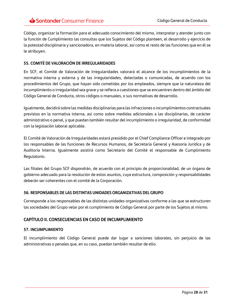Código, organizar la formación para el adecuado conocimiento del mismo, interpretar y atender junto con la función de Cumplimiento las consultas que los Sujetos del Código planteen, el desarrollo y ejercicio de la potestad disciplinaria y sancionadora, en materia laboral, así como el resto de las funciones que en él se le atribuyen.

#### <span id="page-27-0"></span>**55. COMITÉ DE VALORACIÓN DE IRREGULARIDADES**

En SCF, el Comité de Valoración de Irregularidades valorará el alcance de los incumplimientos de la normativa interna y externa y de las irregularidades, detectadas o comunicadas, de acuerdo con los procedimientos del Grupo, que hayan sido cometidas por los empleados, siempre que la naturaleza del incumplimiento o irregularidad sea grave y se refiera a cuestiones que se encuentren dentro del ámbito del Código General de Conducta, otros códigos o manuales, o sus normativas de desarrollo.

Igualmente, decidirá sobre las medidas disciplinarias para las infracciones o incumplimientos contractuales previstos en la normativa interna, así como sobre medidas adicionales a las disciplinarias, de carácter administrativo o penal, y que puedan también resultar del incumplimiento o irregularidad, de conformidad con la legislación laboral aplicable.

El Comité de Valoración de Irregularidades estará presidido por el Chief Compliance Officer e integrado por los responsables de las funciones de Recursos Humanos, de Secretaría General y Asesoría Jurídica y de Auditoría Interna. Igualmente asistirá como Secretario del Comité el responsable de Cumplimiento Regulatorio.

Las filiales del Grupo SCF dispondrán, de acuerdo con el principio de proporcionalidad, de un órgano de gobierno adecuado para la resolución de estos asuntos, cuya estructura, composición y responsabilidades deberán ser coherentes con el comité de la Corporación.

#### <span id="page-27-1"></span>**56. RESPONSABLES DE LAS DISTINTAS UNIDADES ORGANIZATIVAS DEL GRUPO**

Corresponde a los responsables de las distintas unidades organizativas conforme a las que se estructuren las sociedades del Grupo velar por el cumplimiento de Código General por parte de los Sujetos al mismo.

# <span id="page-27-2"></span>**CAPÍTULO II. CONSECUENCIAS EN CASO DE INCUMPLIMIENTO**

#### <span id="page-27-3"></span>**57. INCUMPLIMIENTO**

El incumplimiento del Código General puede dar lugar a sanciones laborales, sin perjuicio de las administrativas o penales que, en su caso, puedan también resultar de ello.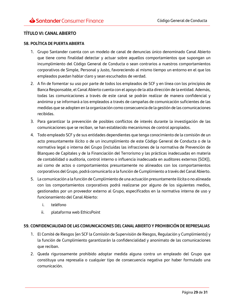# <span id="page-28-0"></span>**TÍTULO VI: CANAL ABIERTO**

#### <span id="page-28-1"></span>**58. POLÍTICA DE PUERTA ABIERTA**

- 1. Grupo Santander cuenta con un modelo de canal de denuncias único denominado Canal Abierto que tiene como finalidad detectar y actuar sobre aquellos comportamientos que supongan un incumplimiento del Código General de Conducta o sean contrarios a nuestros comportamientos corporativos de Simple, Personal y Justo, favoreciendo al mismo tiempo un entorno en el que los empleados puedan hablar claro y sean escuchados de verdad.
- 2. A fin de fomentar su uso por parte de todos los empleados de SCF y en línea con los principios de Banca Responsable, el Canal Abierto cuenta con el apoyo de la alta dirección de la entidad. Además, todas las comunicaciones a través de este canal se podrán realizar de manera confidencial y anónima y se informará a los empleados a través de campañas de comunicación suficientes de las medidas que se adopten en la organización como consecuencia de la gestión de las comunicaciones recibidas.
- 3. Para garantizar la prevención de posibles conflictos de interés durante la investigación de las comunicaciones que se reciban, se han establecido mecanismos de control apropiados.
- 4. Todo empleado SCF y de sus entidades dependientes que tenga conocimiento de la comisión de un acto presuntamente ilícito o de un incumplimiento de este Código General de Conducta o de la normativa legal o interna del Grupo (incluidas las infracciones de la normativa de Prevención de Blanqueo de Capitales y de la Financiación del Terrorismo y las prácticas inadecuadas en materia de contabilidad o auditoria, control interno o influencia inadecuada en auditores externos (SOX)), así como de actos o comportamientos presuntamente no alineados con los comportamientos corporativos del Grupo, podrá comunicarlo a la función de Cumplimiento a través del Canal Abierto.
- 5. La comunicación a la función de Cumplimiento de una actuación presuntamente ilícita o no alineada con los comportamientos corporativos podrá realizarse por alguno de los siguientes medios, gestionados por un proveedor externo al Grupo, especificados en la normativa interna de uso y funcionamiento del Canal Abierto:
	- i. teléfono
	- ii. plataforma web EthicsPoint

#### <span id="page-28-2"></span>**59. CONFIDENCIALIDAD DE LAS COMUNICACIONES DEL CANAL ABIERTO Y PROHIBICIÓN DE REPRESALIAS**

- 1. El Comité de Riesgos (en SCF la Comisión de Supervisión de Riesgos, Regulación y Cumplimiento) y la función de Cumplimiento garantizarán la confidencialidad y anonimato de las comunicaciones que reciban.
- 2. Queda rigurosamente prohibido adoptar medida alguna contra un empleado del Grupo que constituya una represalia o cualquier tipo de consecuencia negativa por haber formulado una comunicación.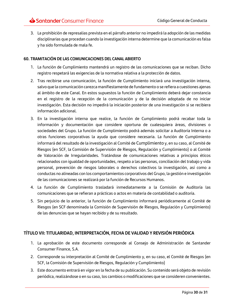3. La prohibición de represalias prevista en el párrafo anterior no impedirá la adopción de las medidas disciplinarias que procedan cuando la investigación interna determine que la comunicación es falsa y ha sido formulada de mala fe.

#### <span id="page-29-0"></span>**60. TRAMITACIÓN DE LAS COMUNICACIONES DEL CANAL ABIERTO**

- 1. La función de Cumplimiento mantendrá un registro de las comunicaciones que se reciban. Dicho registro respetará las exigencias de la normativa relativa a la protección de datos.
- 2. Tras recibirse una comunicación, la función de Cumplimiento iniciará una investigación interna, salvo que la comunicación carezca manifiestamente de fundamento o se refiera a cuestiones ajenas al ámbito de este Canal. En estos supuestos la función de Cumplimiento deberá dejar constancia en el registro de la recepción de la comunicación y de la decisión adoptada de no iniciar investigación. Esta decisión no impedirá la iniciación posterior de una investigación si se recibiera información adicional.
- 3. En la investigación interna que realice, la función de Cumplimiento podrá recabar toda la información y documentación que considere oportuna de cualesquiera áreas, divisiones o sociedades del Grupo. La función de Cumplimiento podrá además solicitar a Auditoría Interna o a otras funciones corporativas la ayuda que considere necesaria. La función de Cumplimiento informará del resultado de la investigación al Comité de Cumplimiento y, en su caso, al Comité de Riesgos (en SCF, la Comisión de Supervisión de Riesgos, Regulación y Cumplimiento) o al Comité de Valoración de Irregularidades. Tratándose de comunicaciones relativas a principios éticos relacionados con igualdad de oportunidades, respeto a las personas, conciliación del trabajo y vida personal, prevención de riesgos laborales o derechos colectivos la investigación, así como a conductas no alineadas con los comportamientos corporativos del Grupo, la gestión e investigación de las comunicaciones se realizará por la función de Recursos Humanos.
- 4. La función de Cumplimiento trasladará inmediatamente a la Comisión de Auditoría las comunicaciones que se refieran a prácticas o actos en materia de contabilidad o auditoría.
- 5. Sin perjuicio de lo anterior, la función de Cumplimiento informará periódicamente al Comité de Riesgos (en SCF denominada la Comisión de Supervisión de Riesgos, Regulación y Cumplimiento) de las denuncias que se hayan recibido y de su resultado.

# <span id="page-29-1"></span>**TÍTULO VII: TITULARIDAD, INTERPRETACIÓN, FECHA DE VALIDAD Y REVISIÓN PERIÓDICA**

- 1. La aprobación de este documento corresponde al Consejo de Administración de Santander Consumer Finance, S.A.
- 2. Corresponde su interpretación al Comité de Cumplimiento y, en su caso, el Comité de Riesgos (en SCF, la Comisión de Supervisión de Riesgos, Regulación y Cumplimiento)
- 3. Este documento entrará en vigor en la fecha de su publicación. Su contenido será objeto de revisión periódica, realizándose o en su caso, los cambios o modificaciones que se consideren convenientes.